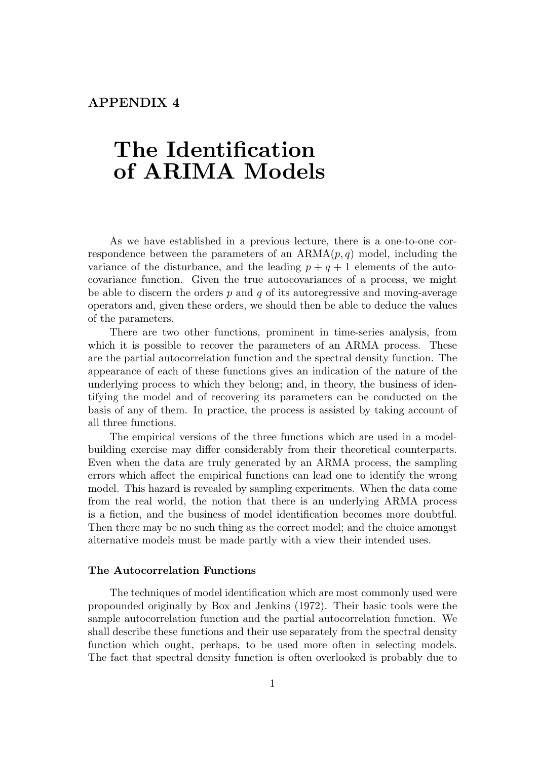# **The Identification of ARIMA Models**

As we have established in a previous lecture, there is a one-to-one correspondence between the parameters of an  $ARMA(p, q)$  model, including the variance of the disturbance, and the leading  $p + q + 1$  elements of the autocovariance function. Given the true autocovariances of a process, we might be able to discern the orders *p* and *q* of its autoregressive and moving-average operators and, given these orders, we should then be able to deduce the values of the parameters.

There are two other functions, prominent in time-series analysis, from which it is possible to recover the parameters of an ARMA process. These are the partial autocorrelation function and the spectral density function. The appearance of each of these functions gives an indication of the nature of the underlying process to which they belong; and, in theory, the business of identifying the model and of recovering its parameters can be conducted on the basis of any of them. In practice, the process is assisted by taking account of all three functions.

The empirical versions of the three functions which are used in a modelbuilding exercise may differ considerably from their theoretical counterparts. Even when the data are truly generated by an ARMA process, the sampling errors which affect the empirical functions can lead one to identify the wrong model. This hazard is revealed by sampling experiments. When the data come from the real world, the notion that there is an underlying ARMA process is a fiction, and the business of model identification becomes more doubtful. Then there may be no such thing as the correct model; and the choice amongst alternative models must be made partly with a view their intended uses.

## **The Autocorrelation Functions**

The techniques of model identification which are most commonly used were propounded originally by Box and Jenkins (1972). Their basic tools were the sample autocorrelation function and the partial autocorrelation function. We shall describe these functions and their use separately from the spectral density function which ought, perhaps, to be used more often in selecting models. The fact that spectral density function is often overlooked is probably due to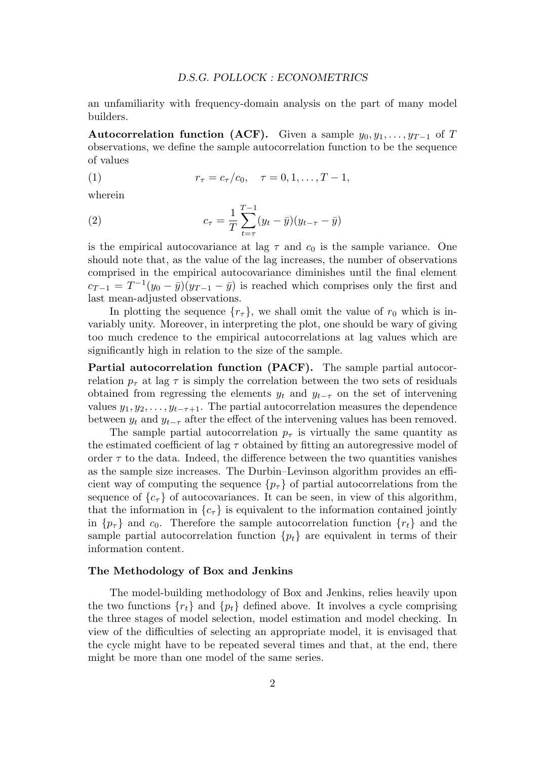an unfamiliarity with frequency-domain analysis on the part of many model builders.

**Autocorrelation function (ACF).** Given a sample  $y_0, y_1, \ldots, y_{T-1}$  of *T* observations, we define the sample autocorrelation function to be the sequence of values

(1) 
$$
r_{\tau} = c_{\tau}/c_0, \quad \tau = 0, 1, \ldots, T-1,
$$

wherein

(2) 
$$
c_{\tau} = \frac{1}{T} \sum_{t=\tau}^{T-1} (y_t - \bar{y})(y_{t-\tau} - \bar{y})
$$

is the empirical autocovariance at lag  $\tau$  and  $c_0$  is the sample variance. One should note that, as the value of the lag increases, the number of observations comprised in the empirical autocovariance diminishes until the final element  $c_{T-1} = T^{-1}(y_0 - \bar{y})(y_{T-1} - \bar{y})$  is reached which comprises only the first and last mean-adjusted observations.

In plotting the sequence  ${r<sub>\tau</sub>}$ , we shall omit the value of  $r<sub>0</sub>$  which is invariably unity. Moreover, in interpreting the plot, one should be wary of giving too much credence to the empirical autocorrelations at lag values which are significantly high in relation to the size of the sample.

**Partial autocorrelation function (PACF).** The sample partial autocorrelation  $p_{\tau}$  at lag  $\tau$  is simply the correlation between the two sets of residuals obtained from regressing the elements  $y_t$  and  $y_{t-\tau}$  on the set of intervening values  $y_1, y_2, \ldots, y_{t-\tau+1}$ . The partial autocorrelation measures the dependence between  $y_t$  and  $y_{t-\tau}$  after the effect of the intervening values has been removed.

The sample partial autocorrelation  $p<sub>\tau</sub>$  is virtually the same quantity as the estimated coefficient of lag  $\tau$  obtained by fitting an autoregressive model of order  $\tau$  to the data. Indeed, the difference between the two quantities vanishes as the sample size increases. The Durbin–Levinson algorithm provides an efficient way of computing the sequence  ${p<sub>\tau</sub>}$  of partial autocorrelations from the sequence of  ${c<sub>\tau</sub>}$  of autocovariances. It can be seen, in view of this algorithm, that the information in  ${c<sub>\tau</sub>}$  is equivalent to the information contained jointly in  ${p_{\tau}}$  and  $c_0$ . Therefore the sample autocorrelation function  ${r_t}$  and the sample partial autocorrelation function  $\{p_t\}$  are equivalent in terms of their information content.

#### **The Methodology of Box and Jenkins**

The model-building methodology of Box and Jenkins, relies heavily upon the two functions  $\{r_t\}$  and  $\{p_t\}$  defined above. It involves a cycle comprising the three stages of model selection, model estimation and model checking. In view of the difficulties of selecting an appropriate model, it is envisaged that the cycle might have to be repeated several times and that, at the end, there might be more than one model of the same series.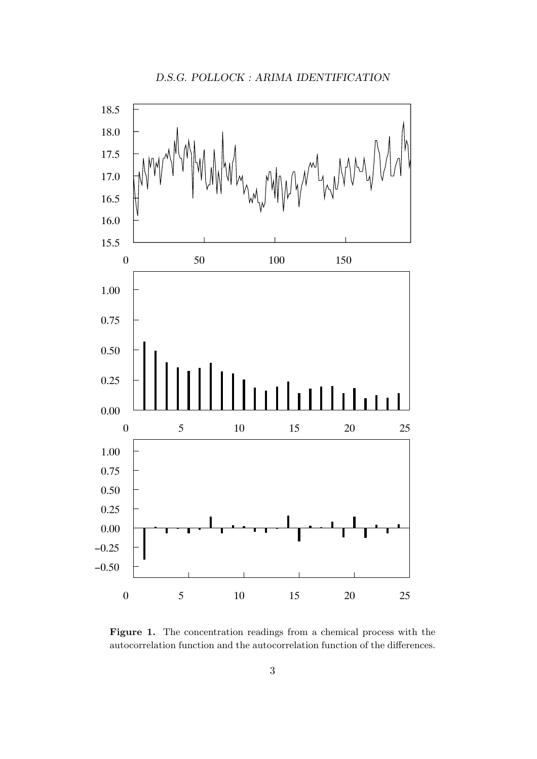

**Figure 1.** The concentration readings from a chemical process with the autocorrelation function and the autocorrelation function of the differences.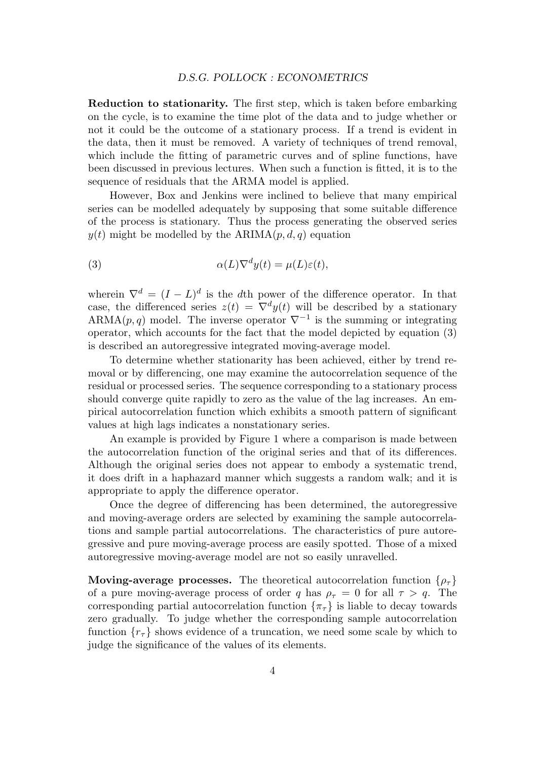#### *D.S.G. POLLOCK : ECONOMETRICS*

**Reduction to stationarity.** The first step, which is taken before embarking on the cycle, is to examine the time plot of the data and to judge whether or not it could be the outcome of a stationary process. If a trend is evident in the data, then it must be removed. A variety of techniques of trend removal, which include the fitting of parametric curves and of spline functions, have been discussed in previous lectures. When such a function is fitted, it is to the sequence of residuals that the ARMA model is applied.

However, Box and Jenkins were inclined to believe that many empirical series can be modelled adequately by supposing that some suitable difference of the process is stationary. Thus the process generating the observed series  $y(t)$  might be modelled by the ARIMA $(p, d, q)$  equation

(3) 
$$
\alpha(L)\nabla^d y(t) = \mu(L)\varepsilon(t),
$$

wherein  $\nabla^d = (I - L)^d$  is the *d*th power of the difference operator. In that case, the differenced series  $z(t) = \nabla^d y(t)$  will be described by a stationary ARMA $(p, q)$  model. The inverse operator  $\nabla^{-1}$  is the summing or integrating operator, which accounts for the fact that the model depicted by equation (3) is described an autoregressive integrated moving-average model.

To determine whether stationarity has been achieved, either by trend removal or by differencing, one may examine the autocorrelation sequence of the residual or processed series. The sequence corresponding to a stationary process should converge quite rapidly to zero as the value of the lag increases. An empirical autocorrelation function which exhibits a smooth pattern of significant values at high lags indicates a nonstationary series.

An example is provided by Figure 1 where a comparison is made between the autocorrelation function of the original series and that of its differences. Although the original series does not appear to embody a systematic trend, it does drift in a haphazard manner which suggests a random walk; and it is appropriate to apply the difference operator.

Once the degree of differencing has been determined, the autoregressive and moving-average orders are selected by examining the sample autocorrelations and sample partial autocorrelations. The characteristics of pure autoregressive and pure moving-average process are easily spotted. Those of a mixed autoregressive moving-average model are not so easily unravelled.

**Moving-average processes.** The theoretical autocorrelation function  $\{\rho_\tau\}$ of a pure moving-average process of order *q* has  $\rho_{\tau} = 0$  for all  $\tau > q$ . The corresponding partial autocorrelation function  $\{\pi_{\tau}\}\$ is liable to decay towards zero gradually. To judge whether the corresponding sample autocorrelation function  ${r<sub>\tau</sub>}$  shows evidence of a truncation, we need some scale by which to judge the significance of the values of its elements.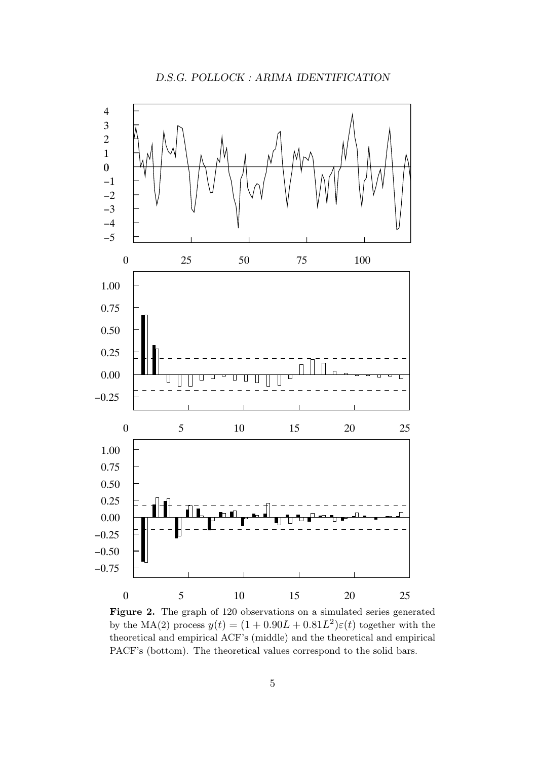

Figure 2. The graph of 120 observations on a simulated series generated by the MA(2) process  $y(t) = (1 + 0.90L + 0.81L^2)\varepsilon(t)$  together with the theoretical and empirical ACF's (middle) and the theoretical and empirical PACF's (bottom). The theoretical values correspond to the solid bars.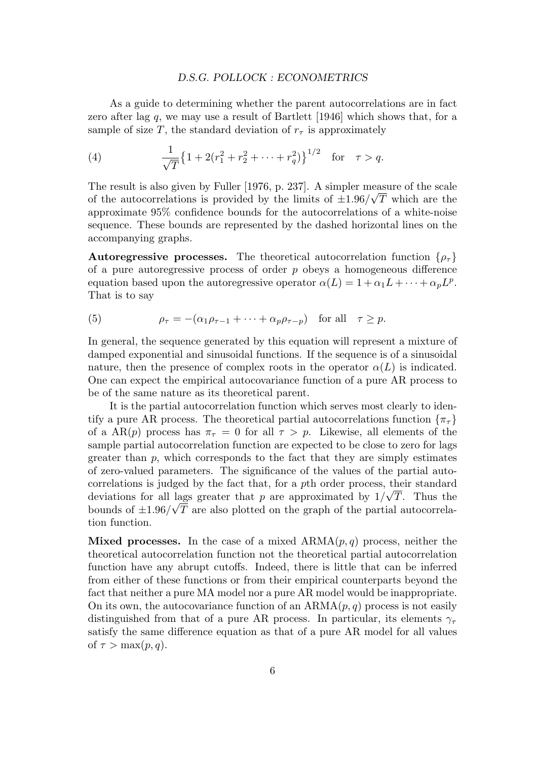#### *D.S.G. POLLOCK : ECONOMETRICS*

As a guide to determining whether the parent autocorrelations are in fact zero after lag *q*, we may use a result of Bartlett [1946] which shows that, for a sample of size *T*, the standard deviation of  $r<sub>\tau</sub>$  is approximately

(4) 
$$
\frac{1}{\sqrt{T}} \left\{ 1 + 2(r_1^2 + r_2^2 + \dots + r_q^2) \right\}^{1/2} \text{ for } \tau > q.
$$

The result is also given by Fuller [1976, p. 237]. A simpler measure of the scale of the autocorrelations is provided by the limits of  $\pm 1.96/\sqrt{T}$  which are the approximate 95% confidence bounds for the autocorrelations of a white-noise sequence. These bounds are represented by the dashed horizontal lines on the accompanying graphs.

**Autoregressive processes.** The theoretical autocorrelation function  $\{\rho_\tau\}$ of a pure autoregressive process of order *p* obeys a homogeneous difference equation based upon the autoregressive operator  $\alpha(L) = 1 + \alpha_1 L + \cdots + \alpha_p L^p$ . That is to say

(5) 
$$
\rho_{\tau} = -(\alpha_1 \rho_{\tau-1} + \cdots + \alpha_p \rho_{\tau-p}) \text{ for all } \tau \geq p.
$$

In general, the sequence generated by this equation will represent a mixture of damped exponential and sinusoidal functions. If the sequence is of a sinusoidal nature, then the presence of complex roots in the operator  $\alpha(L)$  is indicated. One can expect the empirical autocovariance function of a pure AR process to be of the same nature as its theoretical parent.

It is the partial autocorrelation function which serves most clearly to identify a pure AR process. The theoretical partial autocorrelations function  $\{\pi_{\tau}\}\$ of a AR(p) process has  $\pi_{\tau} = 0$  for all  $\tau > p$ . Likewise, all elements of the sample partial autocorrelation function are expected to be close to zero for lags greater than *p*, which corresponds to the fact that they are simply estimates of zero-valued parameters. The significance of the values of the partial autocorrelations is judged by the fact that, for a *p*th order process, their standard deviations for all lags greater that *p* are approximated by  $1/\sqrt{T}$ . Thus the bounds of  $\pm 1.96/\sqrt{T}$  are also plotted on the graph of the partial autocorrelation function.

**Mixed processes.** In the case of a mixed  $ARMA(p,q)$  process, neither the theoretical autocorrelation function not the theoretical partial autocorrelation function have any abrupt cutoffs. Indeed, there is little that can be inferred from either of these functions or from their empirical counterparts beyond the fact that neither a pure MA model nor a pure AR model would be inappropriate. On its own, the autocovariance function of an  $ARMA(p, q)$  process is not easily distinguished from that of a pure AR process. In particular, its elements *γ<sup>τ</sup>* satisfy the same difference equation as that of a pure AR model for all values of  $\tau > \max(p, q)$ .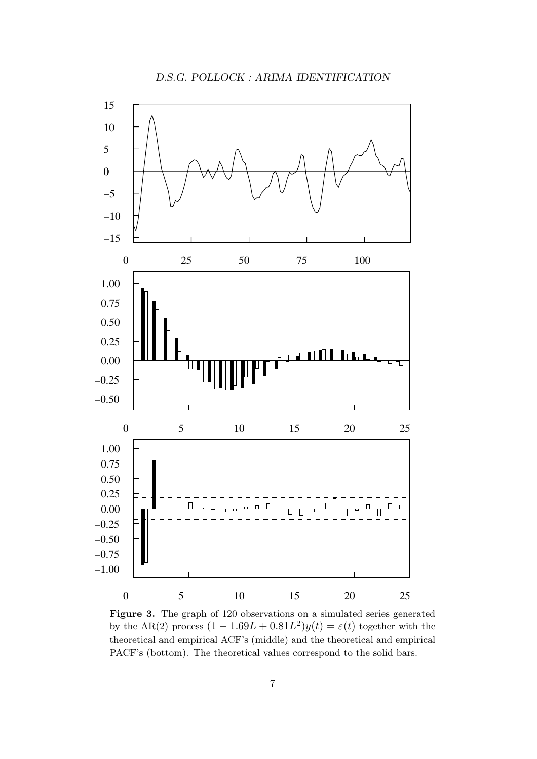

Figure 3. The graph of 120 observations on a simulated series generated by the AR(2) process  $(1 - 1.69L + 0.81L^2)y(t) = \varepsilon(t)$  together with the theoretical and empirical ACF's (middle) and the theoretical and empirical PACF's (bottom). The theoretical values correspond to the solid bars.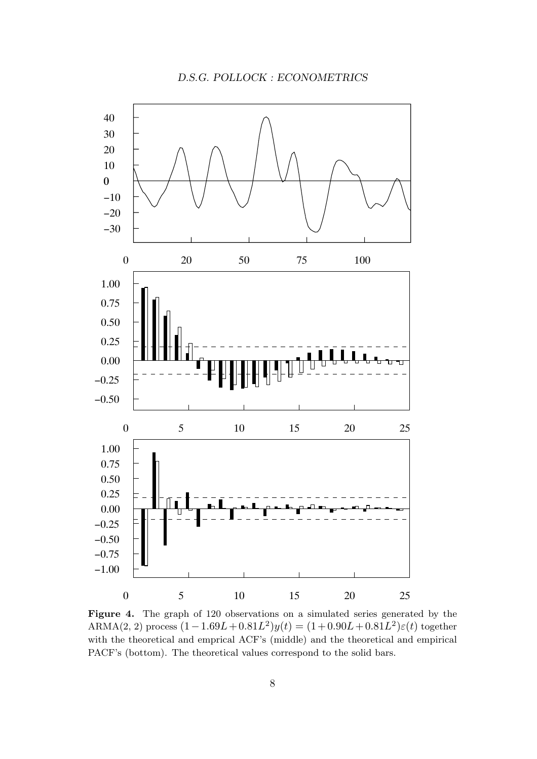*D.S.G. POLLOCK : ECONOMETRICS*



Figure 4. The graph of 120 observations on a simulated series generated by the ARMA(2, 2) process  $(1-1.69L+0.81L^2)y(t) = (1+0.90L+0.81L^2)\varepsilon(t)$  together with the theoretical and emprical ACF's (middle) and the theoretical and empirical PACF's (bottom). The theoretical values correspond to the solid bars.